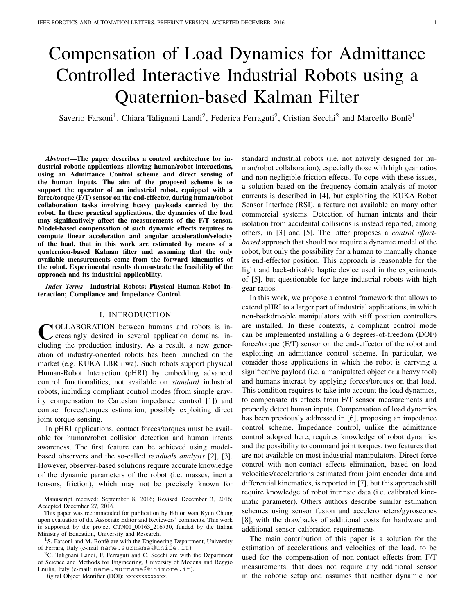# Compensation of Load Dynamics for Admittance Controlled Interactive Industrial Robots using a Quaternion-based Kalman Filter

Saverio Farsoni<sup>1</sup>, Chiara Talignani Landi<sup>2</sup>, Federica Ferraguti<sup>2</sup>, Cristian Secchi<sup>2</sup> and Marcello Bonfè<sup>1</sup>

*Abstract*—The paper describes a control architecture for industrial robotic applications allowing human/robot interactions, using an Admittance Control scheme and direct sensing of the human inputs. The aim of the proposed scheme is to support the operator of an industrial robot, equipped with a force/torque (F/T) sensor on the end-effector, during human/robot collaboration tasks involving heavy payloads carried by the robot. In these practical applications, the dynamics of the load may significatively affect the measurements of the F/T sensor. Model-based compensation of such dynamic effects requires to compute linear acceleration and angular acceleration/velocity of the load, that in this work are estimated by means of a quaternion-based Kalman filter and assuming that the only available measurements come from the forward kinematics of the robot. Experimental results demonstrate the feasibility of the approach and its industrial applicability.

*Index Terms*—Industrial Robots; Physical Human-Robot Interaction; Compliance and Impedance Control.

# I. INTRODUCTION

COLLABORATION between humans and robots is in-<br>creasingly desired in several application domains, increasingly desired in several application domains, including the production industry. As a result, a new generation of industry-oriented robots has been launched on the market (e.g. KUKA LBR iiwa). Such robots support physical Human-Robot Interaction (pHRI) by embedding advanced control functionalities, not available on *standard* industrial robots, including compliant control modes (from simple gravity compensation to Cartesian impedance control [1]) and contact forces/torques estimation, possibly exploiting direct joint torque sensing.

In pHRI applications, contact forces/torques must be available for human/robot collision detection and human intents awareness. The first feature can be achieved using modelbased observers and the so-called *residuals analysis* [2], [3]. However, observer-based solutions require accurate knowledge of the dynamic parameters of the robot (i.e. masses, inertia tensors, friction), which may not be precisely known for

<sup>2</sup>C. Talignani Landi, F. Ferraguti and C. Secchi are with the Department of Science and Methods for Engineering, University of Modena and Reggio Emilia, Italy (e-mail: name.surname@unimore.it).

Digital Object Identifier (DOI): xxxxxxxxxxxxx.

standard industrial robots (i.e. not natively designed for human/robot collaboration), especially those with high gear ratios and non-negligible friction effects. To cope with these issues, a solution based on the frequency-domain analysis of motor currents is described in [4], but exploiting the KUKA Robot Sensor Interface (RSI), a feature not available on many other commercial systems. Detection of human intents and their isolation from accidental collisions is instead reported, among others, in [3] and [5]. The latter proposes a *control effortbased* approach that should not require a dynamic model of the robot, but only the possibility for a human to manually change its end-effector position. This approach is reasonable for the light and back-drivable haptic device used in the experiments of [5], but questionable for large industrial robots with high gear ratios.

In this work, we propose a control framework that allows to extend pHRI to a larger part of industrial applications, in which non-backdrivable manipulators with stiff position controllers are installed. In these contexts, a compliant control mode can be implemented installing a 6 degrees-of-freedom (DOF) force/torque (F/T) sensor on the end-effector of the robot and exploiting an admittance control scheme. In particular, we consider those applications in which the robot is carrying a significative payload (i.e. a manipulated object or a heavy tool) and humans interact by applying forces/torques on that load. This condition requires to take into account the load dynamics, to compensate its effects from F/T sensor measurements and properly detect human inputs. Compensation of load dynamics has been previously addressed in [6], proposing an impedance control scheme. Impedance control, unlike the admittance control adopted here, requires knowledge of robot dynamics and the possibility to command joint torques, two features that are not available on most industrial manipulators. Direct force control with non-contact effects elimination, based on load velocities/accelerations estimated from joint encoder data and differential kinematics, is reported in [7], but this approach still require knowledge of robot intrinsic data (i.e. calibrated kinematic parameter). Others authors describe similar estimation schemes using sensor fusion and accelerometers/gyroscopes [8], with the drawbacks of additional costs for hardware and additional sensor calibration requirements.

The main contribution of this paper is a solution for the estimation of accelerations and velocities of the load, to be used for the compensation of non-contact effects from F/T measurements, that does not require any additional sensor in the robotic setup and assumes that neither dynamic nor

Manuscript received: September 8, 2016; Revised December 3, 2016; Accepted December 27, 2016.

This paper was recommended for publication by Editor Wan Kyun Chung upon evaluation of the Associate Editor and Reviewers' comments. This work is supported by the project CTN01\_00163\_216730, funded by the Italian Ministry of Education, University and Research.

 $1$ S. Farsoni and M. Bonfè are with the Engineering Department, University of Ferrara, Italy (e-mail name.surname@unife.it).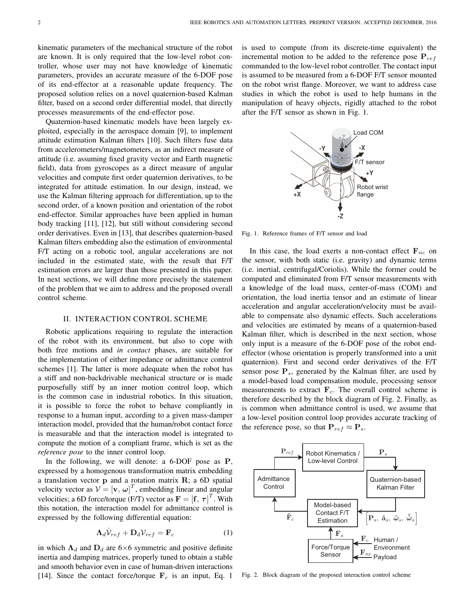kinematic parameters of the mechanical structure of the robot are known. It is only required that the low-level robot controller, whose user may not have knowledge of kinematic parameters, provides an accurate measure of the 6-DOF pose of its end-effector at a reasonable update frequency. The proposed solution relies on a novel quaternion-based Kalman filter, based on a second order differential model, that directly processes measurements of the end-effector pose.

Quaternion-based kinematic models have been largely exploited, especially in the aerospace domain [9], to implement attitude estimation Kalman filters [10]. Such filters fuse data from accelerometers/magnetometers, as an indirect measure of attitude (i.e. assuming fixed gravity vector and Earth magnetic field), data from gyroscopes as a direct measure of angular velocities and compute first order quaternion derivatives, to be integrated for attitude estimation. In our design, instead, we use the Kalman filtering approach for differentiation, up to the second order, of a known position and orientation of the robot end-effector. Similar approaches have been applied in human body tracking [11], [12], but still without considering second order derivatives. Even in [13], that describes quaternion-based Kalman filters embedding also the estimation of environmental F/T acting on a robotic tool, angular accelerations are not included in the estimated state, with the result that F/T estimation errors are larger than those presented in this paper. In next sections, we will define more precisely the statement of the problem that we aim to address and the proposed overall control scheme.

# II. INTERACTION CONTROL SCHEME

Robotic applications requiring to regulate the interaction of the robot with its environment, but also to cope with both free motions and *in contact* phases, are suitable for the implementation of either impedance or admittance control schemes [1]. The latter is more adequate when the robot has a stiff and non-backdrivable mechanical structure or is made purposefully stiff by an inner motion control loop, which is the common case in industrial robotics. In this situation, it is possible to force the robot to behave compliantly in response to a human input, according to a given mass-damper interaction model, provided that the human/robot contact force is measurable and that the interaction model is integrated to compute the motion of a compliant frame, which is set as the *reference pose* to the inner control loop.

In the following, we will denote: a 6-DOF pose as **P**, expressed by a homogenous transformation matrix embedding a translation vector  $\bf{p}$  and a rotation matrix  $\bf{R}$ ; a 6D spatial velocity vector as  $V = [\mathbf{v}, \omega]^T$ , embedding linear and angular velocities; a 6D force/torque (F/T) vector as  $\mathbf{F} = [\mathbf{f}, \boldsymbol{\tau}]^T$ . With this notation, the interaction model for admittance control is expressed by the following differential equation:

$$
\Lambda_d \dot{\mathcal{V}}_{ref} + \mathbf{D}_d \mathcal{V}_{ref} = \mathbf{F}_c \tag{1}
$$

in which  $\Lambda_d$  and  $D_d$  are 6×6 symmetric and positive definite inertia and damping matrices, properly tuned to obtain a stable and smooth behavior even in case of human-driven interactions [14]. Since the contact force/torque  $\mathbf{F}_c$  is an input, Eq. 1 is used to compute (from its discrete-time equivalent) the incremental motion to be added to the reference pose  $P_{ref}$ commanded to the low-level robot controller. The contact input is assumed to be measured from a 6-DOF F/T sensor mounted on the robot wrist flange. Moreover, we want to address case studies in which the robot is used to help humans in the manipulation of heavy objects, rigidly attached to the robot after the F/T sensor as shown in Fig. 1.



Fig. 1. Reference frames of F/T sensor and load

In this case, the load exerts a non-contact effect  $\mathbf{F}_{nc}$  on the sensor, with both static (i.e. gravity) and dynamic terms (i.e. inertial, centrifugal/Coriolis). While the former could be computed and eliminated from F/T sensor measurements with a knowledge of the load mass, center-of-mass (COM) and orientation, the load inertia tensor and an estimate of linear acceleration and angular acceleration/velocity must be available to compensate also dynamic effects. Such accelerations and velocities are estimated by means of a quaternion-based Kalman filter, which is described in the next section, whose only input is a measure of the 6-DOF pose of the robot endeffector (whose orientation is properly transformed into a unit quaternion). First and second order derivatives of the F/T sensor pose  $P_s$ , generated by the Kalman filter, are used by a model-based load compensation module, processing sensor measurements to extract  $\mathbf{F}_c$ . The overall control scheme is therefore described by the block diagram of Fig. 2. Finally, as is common when admittance control is used, we assume that a low-level position control loop provides accurate tracking of the reference pose, so that  ${\bf P}_{ref} \approx {\bf P}_s$ .



Fig. 2. Block diagram of the proposed interaction control scheme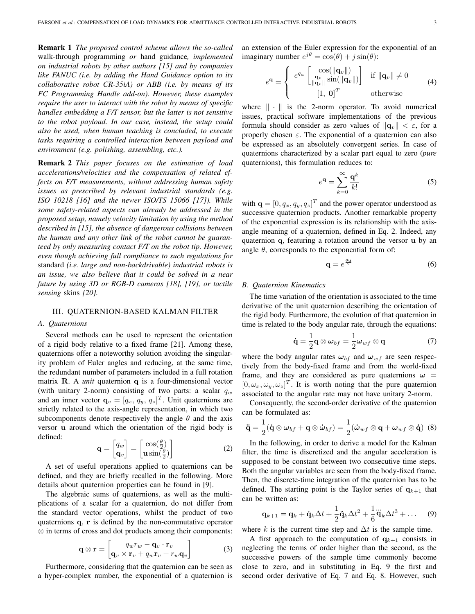Remark 1 *The proposed control scheme allows the so-called* walk-through programming *or* hand guidance*, implemented on industrial robots by other authors [15] and by companies like FANUC (i.e. by adding the Hand Guidance option to its collaborative robot CR-35iA) or ABB (i.e. by means of its FC Programming Handle add-on). However, these examples require the user to interact with the robot by means of specific handles embedding a F/T sensor, but the latter is not sensitive to the robot payload. In our case, instead, the setup could also be used, when human teaching is concluded, to execute tasks requiring a controlled interaction between payload and environment (e.g. polishing, assembling, etc.).*

Remark 2 *This paper focuses on the estimation of load accelerations/velocities and the compensation of related effects on F/T measurements, without addressing human safety issues as prescribed by relevant industrial standards (e.g. ISO 10218 [16] and the newer ISO/TS 15066 [17]). While some safety-related aspects can already be addressed in the proposed setup, namely velocity limitation by using the method described in [15], the absence of dangerous collisions between the human and any other link of the robot cannot be guaranteed by only measuring contact F/T on the robot tip. However, even though achieving full compliance to such regulations for* standard *(i.e. large and non-backdrivable) industrial robots is an issue, we also believe that it could be solved in a near future by using 3D or RGB-D cameras [18], [19], or tactile sensing* skins *[20].*

# III. QUATERNION-BASED KALMAN FILTER

# *A. Quaternions*

Several methods can be used to represent the orientation of a rigid body relative to a fixed frame [21]. Among these, quaternions offer a noteworthy solution avoiding the singularity problem of Euler angles and reducing, at the same time, the redundant number of parameters included in a full rotation matrix R. A *unit* quaternion q is a four-dimensional vector (with unitary 2-norm) consisting of two parts: a scalar  $q_w$ and an inner vector  $\mathbf{q}_v = [q_x, q_y, q_z]^T$ . Unit quaternions are strictly related to the axis-angle representation, in which two subcomponents denote respectively the angle  $\theta$  and the axis versor u around which the orientation of the rigid body is defined:

$$
\mathbf{q} = \begin{bmatrix} q_w \\ \mathbf{q}_v \end{bmatrix} = \begin{bmatrix} \cos(\frac{\theta}{2}) \\ \mathbf{u}\sin(\frac{\theta}{2}) \end{bmatrix}
$$
 (2)

A set of useful operations applied to quaternions can be defined, and they are briefly recalled in the following. More details about quaternion properties can be found in [9].

The algebraic sums of quaternions, as well as the multiplications of a scalar for a quaternion, do not differ from the standard vector operations, whilst the product of two quaternions q, r is defined by the non-commutative operator ⊗ in terms of cross and dot products among their components:

$$
\mathbf{q} \otimes \mathbf{r} = \begin{bmatrix} q_w r_w - \mathbf{q}_v \cdot \mathbf{r}_v \\ \mathbf{q}_v \times \mathbf{r}_v + q_w \mathbf{r}_v + r_w \mathbf{q}_v \end{bmatrix}
$$
(3)

Furthermore, considering that the quaternion can be seen as a hyper-complex number, the exponential of a quaternion is an extension of the Euler expression for the exponential of an imaginary number  $e^{j\theta} = \cos(\theta) + j\sin(\theta)$ :

$$
e^{\mathbf{q}} = \begin{cases} e^{q_w} \begin{bmatrix} \cos(\|\mathbf{q}_v\|) \\ \frac{\mathbf{q}_v}{\|\mathbf{q}_v\|} \sin(\|\mathbf{q}_v\|) \end{bmatrix} & \text{if } \|\mathbf{q}_v\| \neq 0 \\ [1, \mathbf{0}]^T & \text{otherwise} \end{cases} \tag{4}
$$

where  $\|\cdot\|$  is the 2-norm operator. To avoid numerical issues, practical software implementations of the previous formula should consider as zero values of  $\|\mathbf{q}_v\| < \varepsilon$ , for a properly chosen  $\varepsilon$ . The exponential of a quaternion can also be expressed as an absolutely convergent series. In case of quaternions characterized by a scalar part equal to zero (*pure* quaternions), this formulation reduces to:

$$
e^{\mathbf{q}} = \sum_{k=0}^{\infty} \frac{\mathbf{q}^k}{k!}
$$
 (5)

with  $\mathbf{q} = [0, q_x, q_y, q_z]^T$  and the power operator understood as successive quaternion products. Another remarkable property of the exponential expression is its relationship with the axisangle meaning of a quaternion, defined in Eq. 2. Indeed, any quaternion q, featuring a rotation around the versor u by an angle  $\theta$ , corresponds to the exponential form of:

$$
\mathbf{q} = e^{\frac{\theta \mathbf{u}}{2}} \tag{6}
$$

# *B. Quaternion Kinematics*

The time variation of the orientation is associated to the time derivative of the unit quaternion describing the orientation of the rigid body. Furthermore, the evolution of that quaternion in time is related to the body angular rate, through the equations:

$$
\dot{\mathbf{q}} = \frac{1}{2}\mathbf{q} \otimes \boldsymbol{\omega}_{bf} = \frac{1}{2}\boldsymbol{\omega}_{wf} \otimes \mathbf{q}
$$
 (7)

where the body angular rates  $\omega_{bf}$  and  $\omega_{wf}$  are seen respectively from the body-fixed frame and from the world-fixed frame, and they are considered as pure quaternions  $\omega$  =  $[0, \omega_x, \omega_y, \omega_z]^T$ . It is worth noting that the pure quaternion associated to the angular rate may not have unitary 2-norm.

Consequently, the second-order derivative of the quaternion can be formulated as:

$$
\ddot{\mathbf{q}} = \frac{1}{2} (\dot{\mathbf{q}} \otimes \boldsymbol{\omega}_{bf} + \mathbf{q} \otimes \dot{\boldsymbol{\omega}}_{bf}) = \frac{1}{2} (\dot{\boldsymbol{\omega}}_{wf} \otimes \mathbf{q} + \boldsymbol{\omega}_{wf} \otimes \dot{\mathbf{q}}) \tag{8}
$$

In the following, in order to derive a model for the Kalman filter, the time is discretized and the angular acceleration is supposed to be constant between two consecutive time steps. Both the angular variables are seen from the body-fixed frame. Then, the discrete-time integration of the quaternion has to be defined. The starting point is the Taylor series of  $q_{k+1}$  that can be written as:

$$
\mathbf{q}_{k+1} = \mathbf{q}_k + \dot{\mathbf{q}}_k \Delta t + \frac{1}{2} \ddot{\mathbf{q}}_k \Delta t^2 + \frac{1}{6} \ddot{\mathbf{q}}_k \Delta t^3 + \dots \quad (9)
$$

where k is the current time step and  $\Delta t$  is the sample time.

A first approach to the computation of  $q_{k+1}$  consists in neglecting the terms of order higher than the second, as the successive powers of the sample time commonly become close to zero, and in substituting in Eq. 9 the first and second order derivative of Eq. 7 and Eq. 8. However, such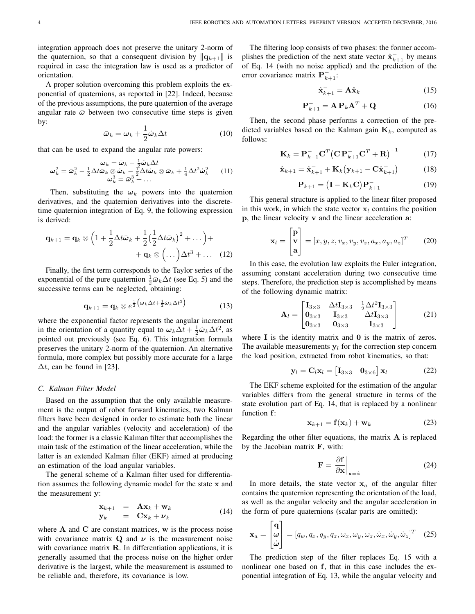integration approach does not preserve the unitary 2-norm of the quaternion, so that a consequent division by  $\|\mathbf{q}_{k+1}\|$  is required in case the integration law is used as a predictor of orientation.

A proper solution overcoming this problem exploits the exponential of quaternions, as reported in [22]. Indeed, because of the previous assumptions, the pure quaternion of the average angular rate  $\bar{\omega}$  between two consecutive time steps is given by:

$$
\bar{\boldsymbol{\omega}}_k = \boldsymbol{\omega}_k + \frac{1}{2} \dot{\boldsymbol{\omega}}_k \Delta t \tag{10}
$$

that can be used to expand the angular rate powers:

$$
\boldsymbol{\omega}_k = \bar{\boldsymbol{\omega}}_k - \frac{1}{2}\dot{\boldsymbol{\omega}}_k \Delta t \n\boldsymbol{\omega}_k^2 = \bar{\boldsymbol{\omega}}_k^2 - \frac{1}{2}\Delta t \bar{\boldsymbol{\omega}}_k \otimes \dot{\boldsymbol{\omega}}_k - \frac{1}{2}\Delta t \dot{\boldsymbol{\omega}}_k \otimes \bar{\boldsymbol{\omega}}_k + \frac{1}{4}\Delta t^2 \dot{\boldsymbol{\omega}}_k^2 \qquad (11) \n\boldsymbol{\omega}_k^3 = \bar{\boldsymbol{\omega}}_k^3 + \dots
$$

Then, substituting the  $\omega_k$  powers into the quaternion derivatives, and the quaternion derivatives into the discretetime quaternion integration of Eq. 9, the following expression is derived:

$$
\mathbf{q}_{k+1} = \mathbf{q}_k \otimes \left(1 + \frac{1}{2}\Delta t \bar{\boldsymbol{\omega}}_k + \frac{1}{2}\left(\frac{1}{2}\Delta t \bar{\boldsymbol{\omega}}_k\right)^2 + \dots\right) + \\ + \mathbf{q}_k \otimes \left(\dots\right)\Delta t^3 + \dots \quad (12)
$$

Finally, the first term corresponds to the Taylor series of the exponential of the pure quaternion  $\frac{1}{2}\bar{\boldsymbol{\omega}}_k\Delta t$  (see Eq. 5) and the successive terms can be neglected, obtaining:

$$
\mathbf{q}_{k+1} = \mathbf{q}_k \otimes e^{\frac{1}{2} \left( \boldsymbol{\omega}_k \Delta t + \frac{1}{2} \dot{\boldsymbol{\omega}}_k \Delta t^2 \right)}
$$
(13)

where the exponential factor represents the angular increment in the orientation of a quantity equal to  $\omega_k \Delta t + \frac{1}{2} \dot{\omega}_k \Delta t^2$ , as pointed out previously (see Eq. 6). This integration formula preserves the unitary 2-norm of the quaternion. An alternative formula, more complex but possibly more accurate for a large  $\Delta t$ , can be found in [23].

# *C. Kalman Filter Model*

Based on the assumption that the only available measurement is the output of robot forward kinematics, two Kalman filters have been designed in order to estimate both the linear and the angular variables (velocity and acceleration) of the load: the former is a classic Kalman filter that accomplishes the main task of the estimation of the linear acceleration, while the latter is an extended Kalman filter (EKF) aimed at producing an estimation of the load angular variables.

The general scheme of a Kalman filter used for differentiation assumes the following dynamic model for the state x and the measurement y:

$$
\begin{array}{rcl}\n\mathbf{x}_{k+1} & = & \mathbf{A}\mathbf{x}_k + \mathbf{w}_k \\
\mathbf{y}_k & = & \mathbf{C}\mathbf{x}_k + \mathbf{\nu}_k\n\end{array} \tag{14}
$$

where  $A$  and  $C$  are constant matrices,  $w$  is the process noise with covariance matrix  $Q$  and  $\nu$  is the measurement noise with covariance matrix  $\bf{R}$ . In differentiation applications, it is generally assumed that the process noise on the higher order derivative is the largest, while the measurement is assumed to be reliable and, therefore, its covariance is low.

The filtering loop consists of two phases: the former accomplishes the prediction of the next state vector  $\hat{\mathbf{x}}_{k+1}^-$  by means of Eq. 14 (with no noise applied) and the prediction of the error covariance matrix  $\mathbf{P}_{k+1}^-$ :

$$
\hat{\mathbf{x}}_{k+1}^- = \mathbf{A}\hat{\mathbf{x}}_k \tag{15}
$$

$$
\mathbf{P}_{k+1}^- = \mathbf{A} \, \mathbf{P}_k \mathbf{A}^T + \mathbf{Q} \tag{16}
$$

Then, the second phase performs a correction of the predicted variables based on the Kalman gain  $\mathbf{K}_k$ , computed as follows:

$$
\mathbf{K}_k = \mathbf{P}_{k+1}^- \mathbf{C}^T \left( \mathbf{C} \mathbf{P}_{k+1}^- \mathbf{C}^T + \mathbf{R} \right)^{-1} \tag{17}
$$

$$
\hat{\mathbf{x}}_{k+1} = \hat{\mathbf{x}}_{k+1}^- + \mathbf{K}_k (\mathbf{y}_{k+1} - \mathbf{C} \hat{\mathbf{x}}_{k+1}^-)
$$
(18)

$$
\mathbf{P}_{k+1} = \left(\mathbf{I} - \mathbf{K}_k \mathbf{C}\right) \mathbf{P}_{k+1}^- \tag{19}
$$

This general structure is applied to the linear filter proposed in this work, in which the state vector  $x_l$  contains the position p, the linear velocity v and the linear acceleration a:

$$
\mathbf{x}_l = \begin{bmatrix} \mathbf{p} \\ \mathbf{v} \\ \mathbf{a} \end{bmatrix} = [x, y, z, v_x, v_y, v_z, a_x, a_y, a_z]^T
$$
 (20)

In this case, the evolution law exploits the Euler integration, assuming constant acceleration during two consecutive time steps. Therefore, the prediction step is accomplished by means of the following dynamic matrix:

$$
\mathbf{A}_{l} = \begin{bmatrix} \mathbf{I}_{3\times3} & \Delta t \mathbf{I}_{3\times3} & \frac{1}{2} \Delta t^{2} \mathbf{I}_{3\times3} \\ \mathbf{0}_{3\times3} & \mathbf{I}_{3\times3} & \Delta t \mathbf{I}_{3\times3} \\ \mathbf{0}_{3\times3} & \mathbf{0}_{3\times3} & \mathbf{I}_{3\times3} \end{bmatrix} \tag{21}
$$

where  $I$  is the identity matrix and  $0$  is the matrix of zeros. The available measurements  $y_l$  for the correction step concern the load position, extracted from robot kinematics, so that:

$$
\mathbf{y}_l = \mathbf{C}_l \mathbf{x}_l = \begin{bmatrix} \mathbf{I}_{3 \times 3} & \mathbf{0}_{3 \times 6} \end{bmatrix} \mathbf{x}_l \tag{22}
$$

The EKF scheme exploited for the estimation of the angular variables differs from the general structure in terms of the state evolution part of Eq. 14, that is replaced by a nonlinear function f:

$$
\mathbf{x}_{k+1} = \mathbf{f}(\mathbf{x}_k) + \mathbf{w}_k \tag{23}
$$

Regarding the other filter equations, the matrix  $A$  is replaced by the Jacobian matrix F, with:

$$
\mathbf{F} = \left. \frac{\partial \mathbf{f}}{\partial \mathbf{x}} \right|_{\mathbf{x} = \hat{\mathbf{x}}} \tag{24}
$$

In more details, the state vector  $x_a$  of the angular filter contains the quaternion representing the orientation of the load, as well as the angular velocity and the angular acceleration in the form of pure quaternions (scalar parts are omitted):

$$
\mathbf{x}_a = \begin{bmatrix} \mathbf{q} \\ \boldsymbol{\omega} \\ \dot{\boldsymbol{\omega}} \end{bmatrix} = [q_w, q_x, q_y, q_z, \omega_x, \omega_y, \omega_z, \dot{\omega}_x, \dot{\omega}_y, \dot{\omega}_z]^T \quad (25)
$$

The prediction step of the filter replaces Eq. 15 with a nonlinear one based on f, that in this case includes the exponential integration of Eq. 13, while the angular velocity and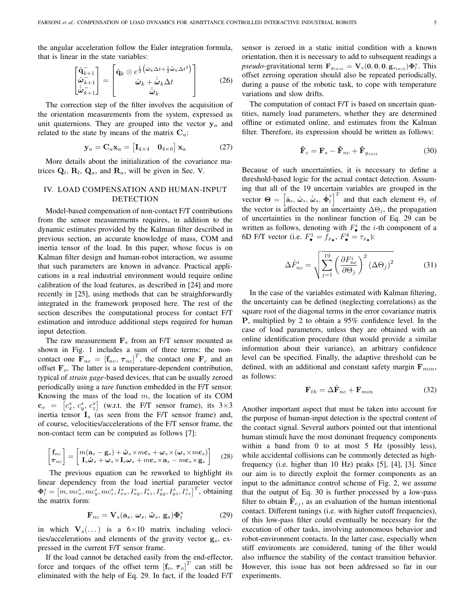the angular acceleration follow the Euler integration formula, that is linear in the state variables:

$$
\begin{bmatrix}\n\hat{\mathbf{q}}_{k+1}^{-} \\
\hat{\boldsymbol{\omega}}_{k+1}^{-}\n\end{bmatrix} = \begin{bmatrix}\n\hat{\mathbf{q}}_k \otimes e^{\frac{1}{2} (\hat{\boldsymbol{\omega}}_k \Delta t + \frac{1}{2} \hat{\boldsymbol{\omega}}_k \Delta t^2)} \\
\hat{\boldsymbol{\omega}}_k + \hat{\boldsymbol{\omega}}_k \Delta t \\
\hat{\boldsymbol{\omega}}_k\n\end{bmatrix}
$$
\n(26)

The correction step of the filter involves the acquisition of the orientation measurements from the system, expressed as unit quaternions. They are grouped into the vector  $y_a$  and related to the state by means of the matrix  $C_a$ :

$$
\mathbf{y}_a = \mathbf{C}_a \mathbf{x}_a = \begin{bmatrix} \mathbf{I}_{4 \times 4} & \mathbf{0}_{4 \times 6} \end{bmatrix} \mathbf{x}_a \tag{27}
$$

More details about the initialization of the covariance matrices  $\mathbf{Q}_l$ ,  $\mathbf{R}_l$ ,  $\mathbf{Q}_a$ , and  $\mathbf{R}_a$ , will be given in Sec. V.

# IV. LOAD COMPENSATION AND HUMAN-INPUT DETECTION

Model-based compensation of non-contact F/T contributions from the sensor measurements requires, in addition to the dynamic estimates provided by the Kalman filter described in previous section, an accurate knowledge of mass, COM and inertia tensor of the load. In this paper, whose focus is on Kalman filter design and human-robot interaction, we assume that such parameters are known in advance. Practical applications in a real industrial environment would require online calibration of the load features, as described in [24] and more recently in [25], using methods that can be straighforwardly integrated in the framework proposed here. The rest of the section describes the computational process for contact F/T estimation and introduce additional steps required for human input detection.

The raw measurement  $\mathbf{F}_s$  from an F/T sensor mounted as shown in Fig. 1 includes a sum of three terms: the noncontact one  $\mathbf{F}_{nc} = [\mathbf{f}_{nc}, \boldsymbol{\tau}_{nc}]^T$ , the contact one  $\mathbf{F}_c$  and an offset  $\mathbf{F}_o$ . The latter is a temperature-dependent contribution, typical of *strain gage*-based devices, that can be usually zeroed periodically using a *tare* function embedded in the F/T sensor. Knowing the mass of the load  $m$ , the location of its COM  $\mathbf{c}_s = \begin{bmatrix} c_s^s, c_y^s, c_z^s \end{bmatrix}$  (w.r.t. the F/T sensor frame), its 3×3 inertia tensor  $I_s$  (as seen from the F/T sensor frame) and, of course, velocities/accelerations of the F/T sensor frame, the non-contact term can be computed as follows [7]:

$$
\begin{bmatrix} \mathbf{f}_{nc} \\ \boldsymbol{\tau}_{nc} \end{bmatrix} = \begin{bmatrix} m(\mathbf{a}_s - \mathbf{g}_s) + \dot{\boldsymbol{\omega}}_s \times m\mathbf{c}_s + \boldsymbol{\omega}_s \times (\boldsymbol{\omega}_s \times m\mathbf{c}_s) \\ \mathbf{I}_s \dot{\boldsymbol{\omega}}_s + \boldsymbol{\omega}_s \times \mathbf{I}_s \boldsymbol{\omega}_s + m\mathbf{c}_s \times \mathbf{a}_s - m\mathbf{c}_s \times \mathbf{g}_s \end{bmatrix}
$$
 (28)

The previous equation can be reworked to highlight its linear dependency from the load inertial parameter vector  $\mathbf{\Phi}_{l}^{s} = \left[m, mc_{x}^{s}, mc_{y}^{s}, mc_{z}^{s}, I_{xx}^{s}, I_{xy}^{s}, I_{xz}^{s}, I_{yy}^{s}, I_{yz}^{s}, I_{zz}^{s}\right]^{T}$ , obtaining the matrix form:

$$
\mathbf{F}_{nc} = \mathbf{V}_s(\mathbf{a}_s, \,\omega_s, \,\dot{\omega}_s, \,\mathbf{g}_s) \mathbf{\Phi}_l^s \tag{29}
$$

in which  $V_s(\ldots)$  is a  $6\times10$  matrix including velocities/accelerations and elements of the gravity vector  $\mathbf{g}_s$ , expressed in the current F/T sensor frame.

If the load cannot be detached easily from the end-effector, force and torques of the offset term  $\begin{bmatrix} \mathbf{f}_o, \boldsymbol{\tau}_o \end{bmatrix}^T$  can still be eliminated with the help of Eq. 29. In fact, if the loaded F/T sensor is zeroed in a static initial condition with a known orientation, then it is necessary to add to subsequent readings a *pseudo-gravitational term*  $\mathbf{F}_{g_{init}} = \mathbf{V}_s(\mathbf{0}, \mathbf{0}, \mathbf{0}, \mathbf{g}_{s_{init}}) \mathbf{\Phi}_l^s$ . This offset zeroing operation should also be repeated periodically, during a pause of the robotic task, to cope with temperature variations and slow drifts.

The computation of contact F/T is based on uncertain quantities, namely load parameters, whether they are determined offline or estimated online, and estimates from the Kalman filter. Therefore, its expression should be written as follows:

$$
\hat{\mathbf{F}}_c = \mathbf{F}_s - \hat{\mathbf{F}}_{nc} + \hat{\mathbf{F}}_{g_{init}} \tag{30}
$$

Because of such uncertainties, it is necessary to define a threshold-based logic for the actual contact detection. Assuming that all of the 19 uncertain variables are grouped in the vector  $\Theta = \left[\hat{a}_s, \hat{\omega}_s, \hat{\omega}_s, \hat{\Phi}_l^s\right]^T$  and that each element  $\Theta_j$  of the vector is affected by an uncertainty  $\Delta\Theta_j$ , the propagation of uncertainties in the nonlinear function of Eq. 29 can be written as follows, denoting with  $F^i_{\bullet}$  the *i*-th component of a 6D F/T vector (i.e.  $F_{\bullet}^1 = f_{x_{\bullet}}, F_{\bullet}^4 = \tau_{x_{\bullet}}$ ):

$$
\Delta \hat{F}_{nc}^{i} = \sqrt{\sum_{j=1}^{19} \left(\frac{\partial F_{nc}^{i}}{\partial \Theta_{j}}\right)^{2} (\Delta \Theta_{j})^{2}}
$$
(31)

In the case of the variables estimated with Kalman filtering, the uncertainty can be defined (neglecting correlations) as the square root of the diagonal terms in the error covariance matrix P, multiplied by 2 to obtain a 95% confidence level. In the case of load parameters, unless they are obtained with an online identification procedure (that would provide a similar information about their variance), an arbitrary confidence level can be specified. Finally, the adaptive threshold can be defined, with an additional and constant safety margin  $\mathbf{F}_{min}$ , as follows:

$$
\mathbf{F}_{th} = \Delta \hat{\mathbf{F}}_{nc} + \mathbf{F}_{min} \tag{32}
$$

Another important aspect that must be taken into account for the purpose of human-input detection is the spectral content of the contact signal. Several authors pointed out that intentional human stimuli have the most dominant frequency components within a band from 0 to at most 5 Hz (possibly less), while accidental collisions can be commonly detected as highfrequency (i.e. higher than 10 Hz) peaks [5], [4], [3]. Since our aim is to directly exploit the former components as an input to the admittance control scheme of Fig. 2, we assume that the output of Eq. 30 is further processed by a low-pass filter to obtain  $\mathbf{\hat{F}}_{c_f}$ , as an evaluation of the human intentional contact. Different tunings (i.e. with higher cutoff frequencies), of this low-pass filter could eventually be necessary for the execution of other tasks, involving autonomous behavior and robot-environment contacts. In the latter case, especially when stiff enviroments are considered, tuning of the filter would also influence the stability of the contact transition behavior. However, this issue has not been addressed so far in our experiments.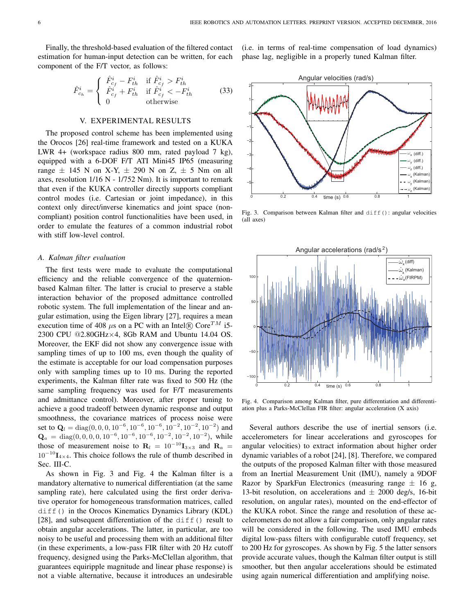Finally, the threshold-based evaluation of the filtered contact estimation for human-input detection can be written, for each component of the F/T vector, as follows:

$$
\hat{F}_{c_h}^i = \begin{cases}\n\hat{F}_{c_f}^i - F_{th}^i & \text{if } \hat{F}_{c_f}^i > F_{th}^i \\
\hat{F}_{c_f}^i + F_{th}^i & \text{if } \hat{F}_{c_f}^i < -F_{th}^i \\
0 & \text{otherwise}\n\end{cases}
$$
\n(33)

## V. EXPERIMENTAL RESULTS

The proposed control scheme has been implemented using the Orocos [26] real-time framework and tested on a KUKA LWR 4+ (workspace radius 800 mm, rated payload 7 kg), equipped with a 6-DOF F/T ATI Mini45 IP65 (measuring range  $\pm$  145 N on X-Y,  $\pm$  290 N on Z,  $\pm$  5 Nm on all axes, resolution  $1/16$  N -  $1/752$  Nm). It is important to remark that even if the KUKA controller directly supports compliant control modes (i.e. Cartesian or joint impedance), in this context only direct/inverse kinematics and joint space (noncompliant) position control functionalities have been used, in order to emulate the features of a common industrial robot with stiff low-level control.

#### *A. Kalman filter evaluation*

The first tests were made to evaluate the computational efficiency and the reliable convergence of the quaternionbased Kalman filter. The latter is crucial to preserve a stable interaction behavior of the proposed admittance controlled robotic system. The full implementation of the linear and angular estimation, using the Eigen library [27], requires a mean execution time of 408  $\mu$ s on a PC with an Intel $\Re$  Core<sup>TM</sup> i5-2300 CPU @2.80GHz×4, 8Gb RAM and Ubuntu 14.04 OS. Moreover, the EKF did not show any convergence issue with sampling times of up to 100 ms, even though the quality of the estimate is acceptable for our load compensation purposes only with sampling times up to 10 ms. During the reported experiments, the Kalman filter rate was fixed to 500 Hz (the same sampling frequency was used for F/T measurements and admittance control). Moreover, after proper tuning to achieve a good tradeoff between dynamic response and output smoothness, the covariance matrices of process noise were set to  $Q_l = \text{diag}(0, 0, 0, 10^{-6}, 10^{-6}, 10^{-6}, 10^{-2}, 10^{-2}, 10^{-2})$  and  $\mathbf{Q}_a = \text{diag}(0, 0, 0, 0, 10^{-6}, 10^{-6}, 10^{-6}, 10^{-2}, 10^{-2}, 10^{-2})$ , while those of measurement noise to  $\mathbf{R}_l = 10^{-10} \mathbf{I}_{3 \times 3}$  and  $\mathbf{R}_a =$  $10^{-10}I_{4\times4}$ . This choice follows the rule of thumb described in Sec. III-C.

As shown in Fig. 3 and Fig. 4 the Kalman filter is a mandatory alternative to numerical differentiation (at the same sampling rate), here calculated using the first order derivative operator for homogeneous transformation matrices, called diff() in the Orocos Kinematics Dynamics Library (KDL) [28], and subsequent differentiation of the  $diff()$  result to obtain angular accelerations. The latter, in particular, are too noisy to be useful and processing them with an additional filter (in these experiments, a low-pass FIR filter with 20 Hz cutoff frequency, designed using the Parks-McClellan algorithm, that guarantees equiripple magnitude and linear phase response) is not a viable alternative, because it introduces an undesirable (i.e. in terms of real-time compensation of load dynamics) phase lag, negligible in a properly tuned Kalman filter.



Fig. 3. Comparison between Kalman filter and diff(): angular velocities (all axes)



Fig. 4. Comparison among Kalman filter, pure differentiation and differentiation plus a Parks-McClellan FIR filter: angular acceleration (X axis)

Several authors describe the use of inertial sensors (i.e. accelerometers for linear accelerations and gyroscopes for angular velocities) to extract information about higher order dynamic variables of a robot [24], [8]. Therefore, we compared the outputs of the proposed Kalman filter with those measured from an Inertial Measurement Unit (IMU), namely a 9DOF Razor by SparkFun Electronics (measuring range  $\pm$  16 g, 13-bit resolution, on accelerations and  $\pm$  2000 deg/s, 16-bit resolution, on angular rates), mounted on the end-effector of the KUKA robot. Since the range and resolution of these accelerometers do not allow a fair comparison, only angular rates will be considered in the following. The used IMU embeds digital low-pass filters with configurable cutoff frequency, set to 200 Hz for gyroscopes. As shown by Fig. 5 the latter sensors provide accurate values, though the Kalman filter output is still smoother, but then angular accelerations should be estimated using again numerical differentiation and amplifying noise.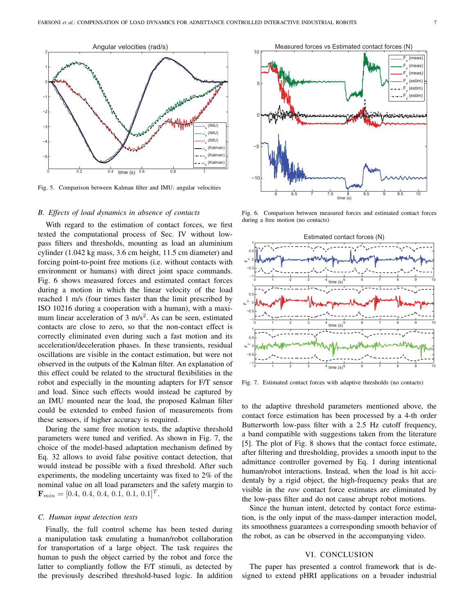

Fig. 5. Comparison between Kalman filter and IMU: angular velocities

# *B. Effects of load dynamics in absence of contacts*

With regard to the estimation of contact forces, we first tested the computational process of Sec. IV without lowpass filters and thresholds, mounting as load an aluminium cylinder (1.042 kg mass, 3.6 cm height, 11.5 cm diameter) and forcing point-to-point free motions (i.e. without contacts with environment or humans) with direct joint space commands. Fig. 6 shows measured forces and estimated contact forces during a motion in which the linear velocity of the load reached 1 m/s (four times faster than the limit prescribed by ISO 10216 during a cooperation with a human), with a maximum linear acceleration of  $3 \text{ m/s}^2$ . As can be seen, estimated contacts are close to zero, so that the non-contact effect is correctly eliminated even during such a fast motion and its acceleration/deceleration phases. In these transients, residual oscillations are visible in the contact estimation, but were not observed in the outputs of the Kalman filter. An explanation of this effect could be related to the structural flexibilities in the robot and especially in the mounting adapters for F/T sensor and load. Since such effects would instead be captured by an IMU mounted near the load, the proposed Kalman filter could be extended to embed fusion of measurements from these sensors, if higher accuracy is required.

During the same free motion tests, the adaptive threshold parameters were tuned and verified. As shown in Fig. 7, the choice of the model-based adaptation mechanism defined by Eq. 32 allows to avoid false positive contact detection, that would instead be possible with a fixed threshold. After such experiments, the modeling uncertainty was fixed to 2% of the nominal value on all load parameters and the safety margin to  $\mathbf{F}_{min} = [0.4, 0.4, 0.4, 0.1, 0.1, 0.1]^T.$ 

#### *C. Human input detection tests*

Finally, the full control scheme has been tested during a manipulation task emulating a human/robot collaboration for transportation of a large object. The task requires the human to push the object carried by the robot and force the latter to compliantly follow the F/T stimuli, as detected by the previously described threshold-based logic. In addition



Fig. 6. Comparison between measured forces and estimated contact forces during a free motion (no contacts)



Fig. 7. Estimated contact forces with adaptive thresholds (no contacts)

to the adaptive threshold parameters mentioned above, the contact force estimation has been processed by a 4-th order Butterworth low-pass filter with a 2.5 Hz cutoff frequency, a band compatible with suggestions taken from the literature [5]. The plot of Fig. 8 shows that the contact force estimate, after filtering and thresholding, provides a smooth input to the admittance controller governed by Eq. 1 during intentional human/robot interactions. Instead, when the load is hit accidentaly by a rigid object, the high-frequency peaks that are visible in the *raw* contact force estimates are eliminated by the low-pass filter and do not cause abrupt robot motions.

Since the human intent, detected by contact force estimation, is the only input of the mass-damper interaction model, its smoothness guarantees a corresponding smooth behavior of the robot, as can be observed in the accompanying video.

## VI. CONCLUSION

The paper has presented a control framework that is designed to extend pHRI applications on a broader industrial